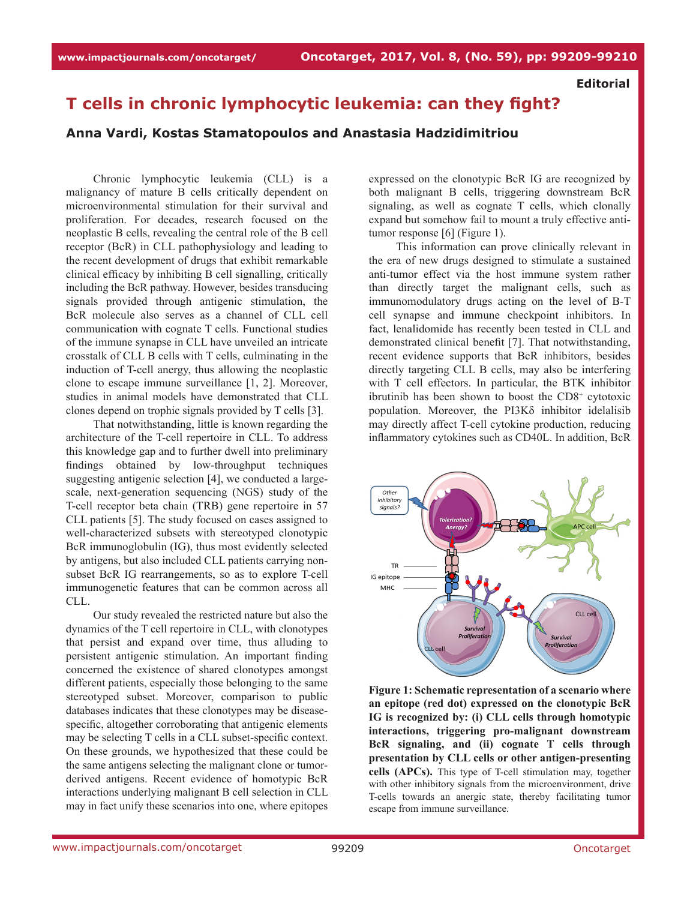**Editorial**

## **T cells in chronic lymphocytic leukemia: can they fight?**

## **Anna Vardi, Kostas Stamatopoulos and Anastasia Hadzidimitriou**

Chronic lymphocytic leukemia (CLL) is a malignancy of mature B cells critically dependent on microenvironmental stimulation for their survival and proliferation. For decades, research focused on the neoplastic B cells, revealing the central role of the B cell receptor (BcR) in CLL pathophysiology and leading to the recent development of drugs that exhibit remarkable clinical efficacy by inhibiting B cell signalling, critically including the BcR pathway. However, besides transducing signals provided through antigenic stimulation, the BcR molecule also serves as a channel of CLL cell communication with cognate T cells. Functional studies of the immune synapse in CLL have unveiled an intricate crosstalk of CLL B cells with T cells, culminating in the induction of T-cell anergy, thus allowing the neoplastic clone to escape immune surveillance [1, 2]. Moreover, studies in animal models have demonstrated that CLL clones depend on trophic signals provided by T cells [3].

That notwithstanding, little is known regarding the architecture of the T-cell repertoire in CLL. To address this knowledge gap and to further dwell into preliminary findings obtained by low-throughput techniques suggesting antigenic selection [4], we conducted a largescale, next-generation sequencing (NGS) study of the T-cell receptor beta chain (TRB) gene repertoire in 57 CLL patients [5]. The study focused on cases assigned to well-characterized subsets with stereotyped clonotypic BcR immunoglobulin (IG), thus most evidently selected by antigens, but also included CLL patients carrying nonsubset BcR IG rearrangements, so as to explore T-cell immunogenetic features that can be common across all CLL.

Our study revealed the restricted nature but also the dynamics of the T cell repertoire in CLL, with clonotypes that persist and expand over time, thus alluding to persistent antigenic stimulation. An important finding concerned the existence of shared clonotypes amongst different patients, especially those belonging to the same stereotyped subset. Moreover, comparison to public databases indicates that these clonotypes may be diseasespecific, altogether corroborating that antigenic elements may be selecting T cells in a CLL subset-specific context. On these grounds, we hypothesized that these could be the same antigens selecting the malignant clone or tumorderived antigens. Recent evidence of homotypic BcR interactions underlying malignant B cell selection in CLL may in fact unify these scenarios into one, where epitopes expressed on the clonotypic BcR IG are recognized by both malignant B cells, triggering downstream BcR signaling, as well as cognate T cells, which clonally expand but somehow fail to mount a truly effective antitumor response [6] (Figure 1).

This information can prove clinically relevant in the era of new drugs designed to stimulate a sustained anti-tumor effect via the host immune system rather than directly target the malignant cells, such as immunomodulatory drugs acting on the level of B-T cell synapse and immune checkpoint inhibitors. In fact, lenalidomide has recently been tested in CLL and demonstrated clinical benefit [7]. That notwithstanding, recent evidence supports that BcR inhibitors, besides directly targeting CLL B cells, may also be interfering with T cell effectors. In particular, the BTK inhibitor ibrutinib has been shown to boost the CD8<sup>+</sup> cytotoxic population. Moreover, the PI3Kδ inhibitor idelalisib may directly affect T-cell cytokine production, reducing inflammatory cytokines such as CD40L. In addition, BcR



**Figure 1: Schematic representation of a scenario where an epitope (red dot) expressed on the clonotypic BcR IG is recognized by: (i) CLL cells through homotypic interactions, triggering pro-malignant downstream BcR signaling, and (ii) cognate T cells through presentation by CLL cells or other antigen-presenting cells (APCs).** This type of T-cell stimulation may, together with other inhibitory signals from the microenvironment, drive T-cells towards an anergic state, thereby facilitating tumor escape from immune surveillance.